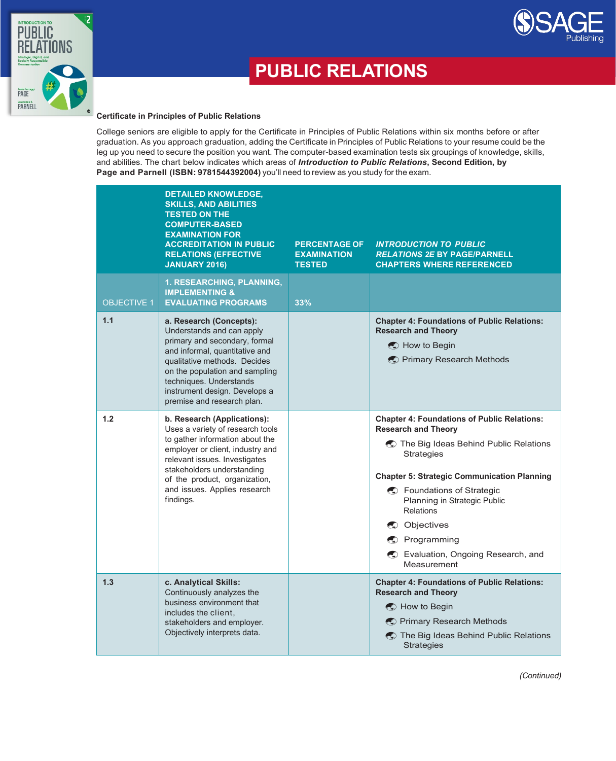



# **PUBLIC RELATIONS**

#### **Certificate in Principles of Public Relations**

College seniors are eligible to apply for the Certificate in Principles of Public Relations within six months before or after graduation. As you approach graduation, adding the Certificate in Principles of Public Relations to your resume could be the leg up you need to secure the position you want. The computer-based examination tests six groupings of knowledge, skills, and abilities. The chart below indicates which areas of *Introduction to Public Relations***, Second Edition, by Page and Parnell (ISBN: 9781544392004)** you'll need to review as you study for the exam.

|                    | <b>DETAILED KNOWLEDGE,</b><br><b>SKILLS, AND ABILITIES</b><br><b>TESTED ON THE</b><br><b>COMPUTER-BASED</b><br><b>EXAMINATION FOR</b><br><b>ACCREDITATION IN PUBLIC</b><br><b>RELATIONS (EFFECTIVE</b><br><b>JANUARY 2016)</b>                                                      | <b>PERCENTAGE OF</b><br><b>EXAMINATION</b><br><b>TESTED</b> | <b>INTRODUCTION TO PUBLIC</b><br><b>RELATIONS 2E BY PAGE/PARNELL</b><br><b>CHAPTERS WHERE REFERENCED</b>                                                                                                                                                                                                                                                                             |
|--------------------|-------------------------------------------------------------------------------------------------------------------------------------------------------------------------------------------------------------------------------------------------------------------------------------|-------------------------------------------------------------|--------------------------------------------------------------------------------------------------------------------------------------------------------------------------------------------------------------------------------------------------------------------------------------------------------------------------------------------------------------------------------------|
| <b>OBJECTIVE 1</b> | 1. RESEARCHING, PLANNING,<br><b>IMPLEMENTING &amp;</b><br><b>EVALUATING PROGRAMS</b>                                                                                                                                                                                                | 33%                                                         |                                                                                                                                                                                                                                                                                                                                                                                      |
| 1.1                | a. Research (Concepts):<br>Understands and can apply<br>primary and secondary, formal<br>and informal, quantitative and<br>qualitative methods. Decides<br>on the population and sampling<br>techniques. Understands<br>instrument design. Develops a<br>premise and research plan. |                                                             | <b>Chapter 4: Foundations of Public Relations:</b><br><b>Research and Theory</b><br>← How to Begin<br><b>C</b> Primary Research Methods                                                                                                                                                                                                                                              |
| 1.2                | b. Research (Applications):<br>Uses a variety of research tools<br>to gather information about the<br>employer or client, industry and<br>relevant issues. Investigates<br>stakeholders understanding<br>of the product, organization,<br>and issues. Applies research<br>findings. |                                                             | <b>Chapter 4: Foundations of Public Relations:</b><br><b>Research and Theory</b><br>The Big Ideas Behind Public Relations<br>Strategies<br><b>Chapter 5: Strategic Communication Planning</b><br>C Foundations of Strategic<br>Planning in Strategic Public<br><b>Relations</b><br>← Objectives<br><b>•</b> Programming<br><b>C</b> Evaluation, Ongoing Research, and<br>Measurement |
| 1.3                | c. Analytical Skills:<br>Continuously analyzes the<br>business environment that<br>includes the client.<br>stakeholders and employer.<br>Objectively interprets data.                                                                                                               |                                                             | <b>Chapter 4: Foundations of Public Relations:</b><br><b>Research and Theory</b><br>to How to Begin<br><b>••</b> Primary Research Methods<br>The Big Ideas Behind Public Relations<br><b>Strategies</b>                                                                                                                                                                              |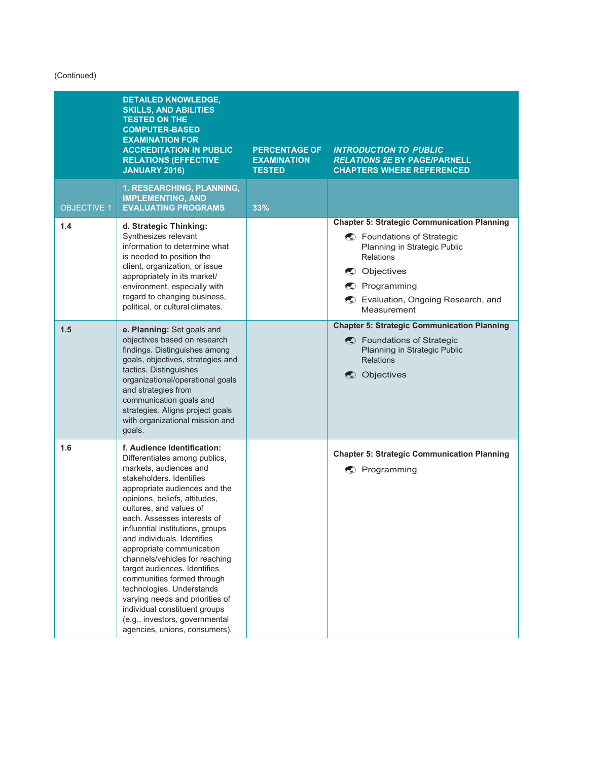|                    | <b>DETAILED KNOWLEDGE,</b><br><b>SKILLS, AND ABILITIES</b><br><b>TESTED ON THE</b><br><b>COMPUTER-BASED</b><br><b>EXAMINATION FOR</b><br><b>ACCREDITATION IN PUBLIC</b><br><b>RELATIONS (EFFECTIVE</b><br><b>JANUARY 2016)</b>                                                                                                                                                                                                                                                                                                                                                                                          | <b>PERCENTAGE OF</b><br><b>EXAMINATION</b><br><b>TESTED</b> | <b>INTRODUCTION TO PUBLIC</b><br><b>RELATIONS 2E BY PAGE/PARNELL</b><br><b>CHAPTERS WHERE REFERENCED</b>                                                                                                                                                                                                                                                                                      |
|--------------------|-------------------------------------------------------------------------------------------------------------------------------------------------------------------------------------------------------------------------------------------------------------------------------------------------------------------------------------------------------------------------------------------------------------------------------------------------------------------------------------------------------------------------------------------------------------------------------------------------------------------------|-------------------------------------------------------------|-----------------------------------------------------------------------------------------------------------------------------------------------------------------------------------------------------------------------------------------------------------------------------------------------------------------------------------------------------------------------------------------------|
| <b>OBJECTIVE 1</b> | 1. RESEARCHING, PLANNING,<br><b>IMPLEMENTING, AND</b><br><b>EVALUATING PROGRAMS</b>                                                                                                                                                                                                                                                                                                                                                                                                                                                                                                                                     | 33%                                                         |                                                                                                                                                                                                                                                                                                                                                                                               |
| 1.4<br>1.5         | d. Strategic Thinking:<br>Synthesizes relevant<br>information to determine what<br>is needed to position the<br>client, organization, or issue<br>appropriately in its market/<br>environment, especially with<br>regard to changing business,<br>political, or cultural climates.<br>e. Planning: Set goals and<br>objectives based on research<br>findings. Distinguishes among<br>goals, objectives, strategies and<br>tactics. Distinguishes<br>organizational/operational goals<br>and strategies from<br>communication goals and<br>strategies. Aligns project goals<br>with organizational mission and<br>goals. |                                                             | <b>Chapter 5: Strategic Communication Planning</b><br><b>C</b> Foundations of Strategic<br>Planning in Strategic Public<br><b>Relations</b><br>← Objectives<br><b>C</b> Programming<br>Evaluation, Ongoing Research, and<br>Measurement<br><b>Chapter 5: Strategic Communication Planning</b><br>• Foundations of Strategic<br>Planning in Strategic Public<br><b>Relations</b><br>Objectives |
| 1.6                | f. Audience Identification:<br>Differentiates among publics,<br>markets, audiences and<br>stakeholders. Identifies<br>appropriate audiences and the<br>opinions, beliefs, attitudes,<br>cultures, and values of<br>each. Assesses interests of<br>influential institutions, groups<br>and individuals. Identifies<br>appropriate communication<br>channels/vehicles for reaching<br>target audiences. Identifies<br>communities formed through<br>technologies. Understands<br>varying needs and priorities of<br>individual constituent groups<br>(e.g., investors, governmental<br>agencies, unions, consumers).      |                                                             | <b>Chapter 5: Strategic Communication Planning</b><br>• Programming                                                                                                                                                                                                                                                                                                                           |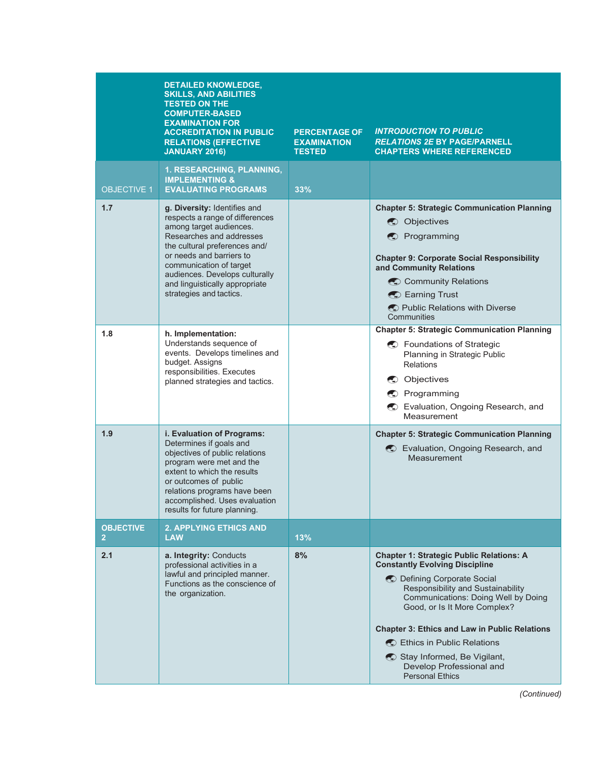|                                    | <b>DETAILED KNOWLEDGE,</b><br><b>SKILLS, AND ABILITIES</b><br><b>TESTED ON THE</b><br><b>COMPUTER-BASED</b><br><b>EXAMINATION FOR</b><br><b>ACCREDITATION IN PUBLIC</b><br><b>RELATIONS (EFFECTIVE</b><br><b>JANUARY 2016)</b>                                                                                | <b>PERCENTAGE OF</b><br><b>EXAMINATION</b><br><b>TESTED</b> | <b>INTRODUCTION TO PUBLIC</b><br><b>RELATIONS 2E BY PAGE/PARNELL</b><br><b>CHAPTERS WHERE REFERENCED</b>                                                                                                                                                                                                                                                                                                                       |
|------------------------------------|---------------------------------------------------------------------------------------------------------------------------------------------------------------------------------------------------------------------------------------------------------------------------------------------------------------|-------------------------------------------------------------|--------------------------------------------------------------------------------------------------------------------------------------------------------------------------------------------------------------------------------------------------------------------------------------------------------------------------------------------------------------------------------------------------------------------------------|
| <b>OBJECTIVE 1</b>                 | 1. RESEARCHING, PLANNING,<br><b>IMPLEMENTING &amp;</b><br><b>EVALUATING PROGRAMS</b>                                                                                                                                                                                                                          | 33%                                                         |                                                                                                                                                                                                                                                                                                                                                                                                                                |
| 1.7                                | g. Diversity: Identifies and<br>respects a range of differences<br>among target audiences.<br>Researches and addresses<br>the cultural preferences and/<br>or needs and barriers to<br>communication of target<br>audiences. Develops culturally<br>and linguistically appropriate<br>strategies and tactics. |                                                             | <b>Chapter 5: Strategic Communication Planning</b><br>Objectives<br><b>C</b> Programming<br><b>Chapter 9: Corporate Social Responsibility</b><br>and Community Relations<br>Community Relations<br><b>C</b> Earning Trust<br>Public Relations with Diverse<br>Communities                                                                                                                                                      |
| 1.8                                | h. Implementation:<br>Understands sequence of<br>events. Develops timelines and<br>budget. Assigns<br>responsibilities. Executes<br>planned strategies and tactics.                                                                                                                                           |                                                             | <b>Chapter 5: Strategic Communication Planning</b><br>← Foundations of Strategic<br>Planning in Strategic Public<br><b>Relations</b><br>Objectives<br><b>C</b> Programming<br><b>C</b> Evaluation, Ongoing Research, and<br>Measurement                                                                                                                                                                                        |
| 1.9                                | i. Evaluation of Programs:<br>Determines if goals and<br>objectives of public relations<br>program were met and the<br>extent to which the results<br>or outcomes of public<br>relations programs have been<br>accomplished. Uses evaluation<br>results for future planning.                                  |                                                             | <b>Chapter 5: Strategic Communication Planning</b><br>C Evaluation, Ongoing Research, and<br>Measurement                                                                                                                                                                                                                                                                                                                       |
| <b>OBJECTIVE</b><br>$\overline{2}$ | 2. APPLYING ETHICS AND<br><b>LAW</b>                                                                                                                                                                                                                                                                          | 13%                                                         |                                                                                                                                                                                                                                                                                                                                                                                                                                |
| 2.1                                | a. Integrity: Conducts<br>professional activities in a<br>lawful and principled manner.<br>Functions as the conscience of<br>the organization.                                                                                                                                                                | 8%                                                          | <b>Chapter 1: Strategic Public Relations: A</b><br><b>Constantly Evolving Discipline</b><br><b>C</b> Defining Corporate Social<br>Responsibility and Sustainability<br>Communications: Doing Well by Doing<br>Good, or Is It More Complex?<br><b>Chapter 3: Ethics and Law in Public Relations</b><br><b>C</b> Ethics in Public Relations<br>Stay Informed, Be Vigilant,<br>Develop Professional and<br><b>Personal Ethics</b> |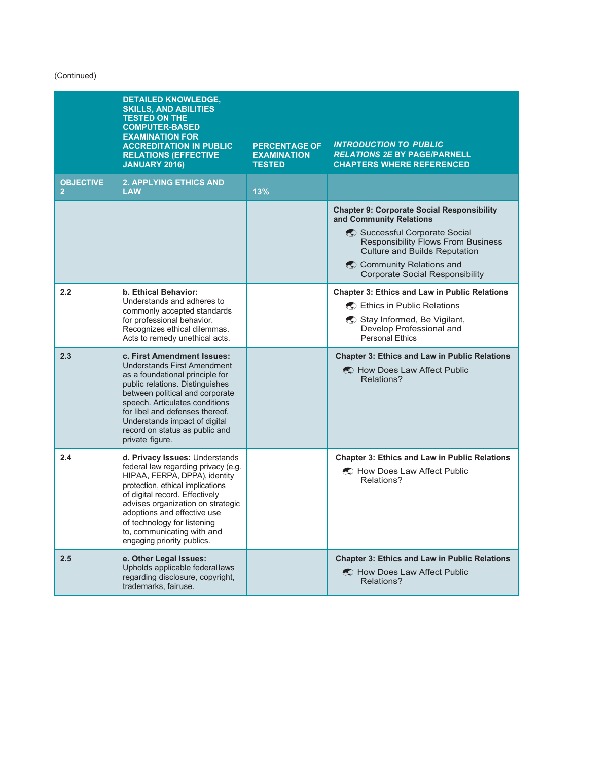|                                    | <b>DETAILED KNOWLEDGE,</b><br><b>SKILLS, AND ABILITIES</b><br><b>TESTED ON THE</b><br><b>COMPUTER-BASED</b><br><b>EXAMINATION FOR</b><br><b>ACCREDITATION IN PUBLIC</b><br><b>RELATIONS (EFFECTIVE</b><br><b>JANUARY 2016)</b>                                                                                                              | <b>PERCENTAGE OF</b><br><b>EXAMINATION</b><br><b>TESTED</b> | <b>INTRODUCTION TO PUBLIC</b><br><b>RELATIONS 2E BY PAGE/PARNELL</b><br><b>CHAPTERS WHERE REFERENCED</b>                                                                                                                                                              |
|------------------------------------|---------------------------------------------------------------------------------------------------------------------------------------------------------------------------------------------------------------------------------------------------------------------------------------------------------------------------------------------|-------------------------------------------------------------|-----------------------------------------------------------------------------------------------------------------------------------------------------------------------------------------------------------------------------------------------------------------------|
| <b>OBJECTIVE</b><br>$\overline{2}$ | <b>2. APPLYING ETHICS AND</b><br><b>LAW</b>                                                                                                                                                                                                                                                                                                 | 13%                                                         |                                                                                                                                                                                                                                                                       |
|                                    |                                                                                                                                                                                                                                                                                                                                             |                                                             | <b>Chapter 9: Corporate Social Responsibility</b><br>and Community Relations<br>Successful Corporate Social<br><b>Responsibility Flows From Business</b><br><b>Culture and Builds Reputation</b><br>Community Relations and<br><b>Corporate Social Responsibility</b> |
| 2.2                                | b. Ethical Behavior:<br>Understands and adheres to<br>commonly accepted standards<br>for professional behavior.<br>Recognizes ethical dilemmas.<br>Acts to remedy unethical acts.                                                                                                                                                           |                                                             | <b>Chapter 3: Ethics and Law in Public Relations</b><br>Ethics in Public Relations<br>Stay Informed, Be Vigilant,<br>Develop Professional and<br><b>Personal Ethics</b>                                                                                               |
| 2.3                                | c. First Amendment Issues:<br><b>Understands First Amendment</b><br>as a foundational principle for<br>public relations. Distinguishes<br>between political and corporate<br>speech. Articulates conditions<br>for libel and defenses thereof.<br>Understands impact of digital<br>record on status as public and<br>private figure.        |                                                             | <b>Chapter 3: Ethics and Law in Public Relations</b><br><b>O</b> How Does Law Affect Public<br>Relations?                                                                                                                                                             |
| 2.4                                | d. Privacy Issues: Understands<br>federal law regarding privacy (e.g.<br>HIPAA, FERPA, DPPA), identity<br>protection, ethical implications<br>of digital record. Effectively<br>advises organization on strategic<br>adoptions and effective use<br>of technology for listening<br>to, communicating with and<br>engaging priority publics. |                                                             | <b>Chapter 3: Ethics and Law in Public Relations</b><br><b>O</b> How Does Law Affect Public<br>Relations?                                                                                                                                                             |
| 2.5                                | e. Other Legal Issues:<br>Upholds applicable federal laws<br>regarding disclosure, copyright,<br>trademarks, fairuse.                                                                                                                                                                                                                       |                                                             | <b>Chapter 3: Ethics and Law in Public Relations</b><br>tow Does Law Affect Public<br>Relations?                                                                                                                                                                      |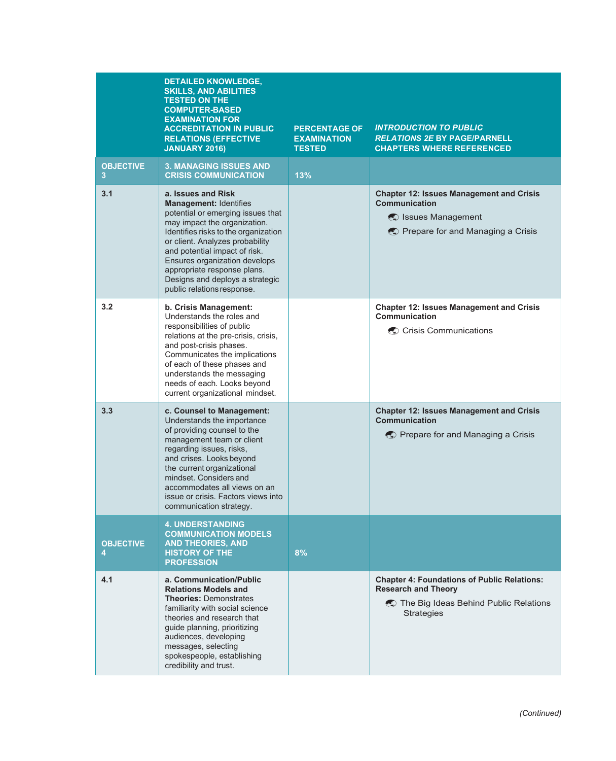|                       | <b>DETAILED KNOWLEDGE,</b><br><b>SKILLS, AND ABILITIES</b><br><b>TESTED ON THE</b><br><b>COMPUTER-BASED</b><br><b>EXAMINATION FOR</b><br><b>ACCREDITATION IN PUBLIC</b><br><b>RELATIONS (EFFECTIVE</b><br><b>JANUARY 2016)</b>                                                                                                                                        | <b>PERCENTAGE OF</b><br><b>EXAMINATION</b><br><b>TESTED</b> | <b>INTRODUCTION TO PUBLIC</b><br><b>RELATIONS 2E BY PAGE/PARNELL</b><br><b>CHAPTERS WHERE REFERENCED</b>                                       |
|-----------------------|-----------------------------------------------------------------------------------------------------------------------------------------------------------------------------------------------------------------------------------------------------------------------------------------------------------------------------------------------------------------------|-------------------------------------------------------------|------------------------------------------------------------------------------------------------------------------------------------------------|
| <b>OBJECTIVE</b><br>3 | <b>3. MANAGING ISSUES AND</b><br><b>CRISIS COMMUNICATION</b>                                                                                                                                                                                                                                                                                                          | 13%                                                         |                                                                                                                                                |
| 3.1                   | a. Issues and Risk<br><b>Management: Identifies</b><br>potential or emerging issues that<br>may impact the organization.<br>Identifies risks to the organization<br>or client. Analyzes probability<br>and potential impact of risk.<br>Ensures organization develops<br>appropriate response plans.<br>Designs and deploys a strategic<br>public relations response. |                                                             | <b>Chapter 12: Issues Management and Crisis</b><br><b>Communication</b><br>Sell Issues Management<br>• Prepare for and Managing a Crisis       |
| 3.2                   | b. Crisis Management:<br>Understands the roles and<br>responsibilities of public<br>relations at the pre-crisis, crisis,<br>and post-crisis phases.<br>Communicates the implications<br>of each of these phases and<br>understands the messaging<br>needs of each. Looks beyond<br>current organizational mindset.                                                    |                                                             | <b>Chapter 12: Issues Management and Crisis</b><br>Communication<br>Crisis Communications                                                      |
| 3.3                   | c. Counsel to Management:<br>Understands the importance<br>of providing counsel to the<br>management team or client<br>regarding issues, risks,<br>and crises. Looks beyond<br>the current organizational<br>mindset. Considers and<br>accommodates all views on an<br>issue or crisis. Factors views into<br>communication strategy.                                 |                                                             | <b>Chapter 12: Issues Management and Crisis</b><br>Communication<br><b>C</b> Prepare for and Managing a Crisis                                 |
| <b>OBJECTIVE</b><br>4 | 4. UNDERSTANDING<br><b>COMMUNICATION MODELS</b><br><b>AND THEORIES, AND</b><br><b>HISTORY OF THE</b><br><b>PROFESSION</b>                                                                                                                                                                                                                                             | 8%                                                          |                                                                                                                                                |
| 4.1                   | a. Communication/Public<br><b>Relations Models and</b><br><b>Theories: Demonstrates</b><br>familiarity with social science<br>theories and research that<br>guide planning, prioritizing<br>audiences, developing<br>messages, selecting<br>spokespeople, establishing<br>credibility and trust.                                                                      |                                                             | <b>Chapter 4: Foundations of Public Relations:</b><br><b>Research and Theory</b><br>The Big Ideas Behind Public Relations<br><b>Strategies</b> |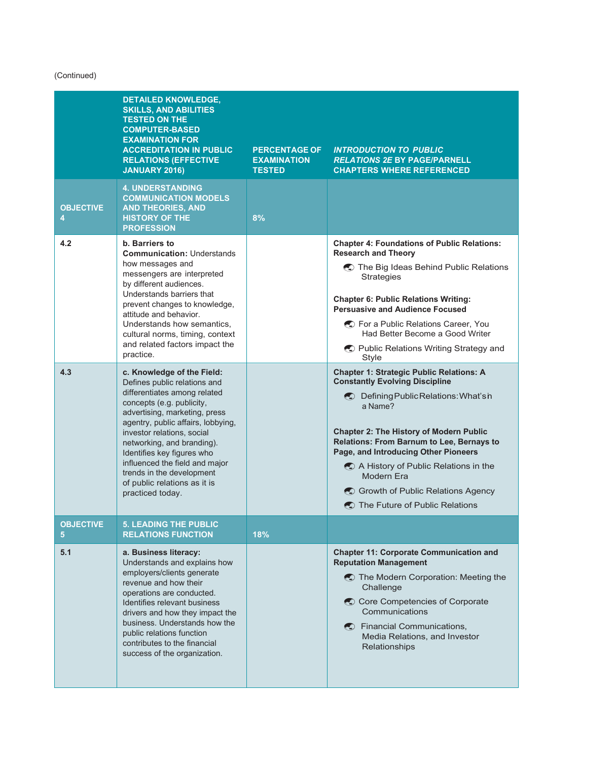|                       | <b>DETAILED KNOWLEDGE,</b><br><b>SKILLS, AND ABILITIES</b><br><b>TESTED ON THE</b><br><b>COMPUTER-BASED</b><br><b>EXAMINATION FOR</b><br><b>ACCREDITATION IN PUBLIC</b><br><b>RELATIONS (EFFECTIVE</b><br><b>JANUARY 2016)</b>                                                                                                                                                                              | <b>PERCENTAGE OF</b><br><b>EXAMINATION</b><br><b>TESTED</b> | <b>INTRODUCTION TO PUBLIC</b><br><b>RELATIONS 2E BY PAGE/PARNELL</b><br><b>CHAPTERS WHERE REFERENCED</b>                                                                                                                                                                                                                                                                                                                                |
|-----------------------|-------------------------------------------------------------------------------------------------------------------------------------------------------------------------------------------------------------------------------------------------------------------------------------------------------------------------------------------------------------------------------------------------------------|-------------------------------------------------------------|-----------------------------------------------------------------------------------------------------------------------------------------------------------------------------------------------------------------------------------------------------------------------------------------------------------------------------------------------------------------------------------------------------------------------------------------|
| <b>OBJECTIVE</b><br>4 | <b>4. UNDERSTANDING</b><br><b>COMMUNICATION MODELS</b><br><b>AND THEORIES, AND</b><br><b>HISTORY OF THE</b><br><b>PROFESSION</b>                                                                                                                                                                                                                                                                            | 8%                                                          |                                                                                                                                                                                                                                                                                                                                                                                                                                         |
| 4.2                   | b. Barriers to<br><b>Communication: Understands</b><br>how messages and<br>messengers are interpreted<br>by different audiences.<br>Understands barriers that<br>prevent changes to knowledge,<br>attitude and behavior.<br>Understands how semantics.<br>cultural norms, timing, context<br>and related factors impact the<br>practice.                                                                    |                                                             | <b>Chapter 4: Foundations of Public Relations:</b><br><b>Research and Theory</b><br>to The Big Ideas Behind Public Relations<br><b>Strategies</b><br><b>Chapter 6: Public Relations Writing:</b><br><b>Persuasive and Audience Focused</b><br>• For a Public Relations Career, You<br>Had Better Become a Good Writer<br>Public Relations Writing Strategy and<br>Style                                                                 |
| 4.3                   | c. Knowledge of the Field:<br>Defines public relations and<br>differentiates among related<br>concepts (e.g. publicity,<br>advertising, marketing, press<br>agentry, public affairs, lobbying,<br>investor relations, social<br>networking, and branding).<br>Identifies key figures who<br>influenced the field and major<br>trends in the development<br>of public relations as it is<br>practiced today. |                                                             | <b>Chapter 1: Strategic Public Relations: A</b><br><b>Constantly Evolving Discipline</b><br><b>C</b> Defining Public Relations: What's h<br>a Name?<br><b>Chapter 2: The History of Modern Public</b><br>Relations: From Barnum to Lee, Bernays to<br>Page, and Introducing Other Pioneers<br>A History of Public Relations in the<br><b>Modern Era</b><br><b>C</b> Growth of Public Relations Agency<br>The Future of Public Relations |
| <b>OBJECTIVE</b><br>5 | <b>5. LEADING THE PUBLIC</b><br><b>RELATIONS FUNCTION</b>                                                                                                                                                                                                                                                                                                                                                   | 18%                                                         |                                                                                                                                                                                                                                                                                                                                                                                                                                         |
| 5.1                   | a. Business literacy:<br>Understands and explains how<br>employers/clients generate<br>revenue and how their<br>operations are conducted.<br>Identifies relevant business<br>drivers and how they impact the<br>business. Understands how the<br>public relations function<br>contributes to the financial<br>success of the organization.                                                                  |                                                             | <b>Chapter 11: Corporate Communication and</b><br><b>Reputation Management</b><br><b>••</b> The Modern Corporation: Meeting the<br>Challenge<br>Core Competencies of Corporate<br>Communications<br>• Financial Communications,<br>Media Relations, and Investor<br>Relationships                                                                                                                                                       |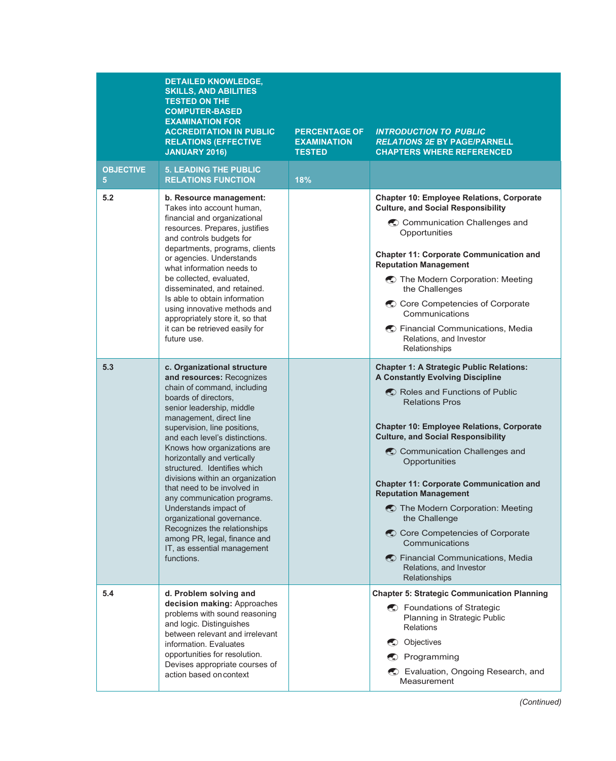|                       | <b>DETAILED KNOWLEDGE,</b><br><b>SKILLS, AND ABILITIES</b><br><b>TESTED ON THE</b><br><b>COMPUTER-BASED</b><br><b>EXAMINATION FOR</b><br><b>ACCREDITATION IN PUBLIC</b><br><b>RELATIONS (EFFECTIVE</b><br><b>JANUARY 2016)</b>                                                                                                                                                                                                                                                                                                                                                                                | <b>PERCENTAGE OF</b><br><b>EXAMINATION</b><br><b>TESTED</b> | <b>INTRODUCTION TO PUBLIC</b><br><b>RELATIONS 2E BY PAGE/PARNELL</b><br><b>CHAPTERS WHERE REFERENCED</b>                                                                                                                                                                                                                                                                                                                                                                                                                                                                                          |
|-----------------------|---------------------------------------------------------------------------------------------------------------------------------------------------------------------------------------------------------------------------------------------------------------------------------------------------------------------------------------------------------------------------------------------------------------------------------------------------------------------------------------------------------------------------------------------------------------------------------------------------------------|-------------------------------------------------------------|---------------------------------------------------------------------------------------------------------------------------------------------------------------------------------------------------------------------------------------------------------------------------------------------------------------------------------------------------------------------------------------------------------------------------------------------------------------------------------------------------------------------------------------------------------------------------------------------------|
| <b>OBJECTIVE</b><br>5 | <b>5. LEADING THE PUBLIC</b><br><b>RELATIONS FUNCTION</b>                                                                                                                                                                                                                                                                                                                                                                                                                                                                                                                                                     | 18%                                                         |                                                                                                                                                                                                                                                                                                                                                                                                                                                                                                                                                                                                   |
| 5.2                   | b. Resource management:<br>Takes into account human,<br>financial and organizational<br>resources. Prepares, justifies<br>and controls budgets for<br>departments, programs, clients<br>or agencies. Understands<br>what information needs to<br>be collected, evaluated,<br>disseminated, and retained.<br>Is able to obtain information<br>using innovative methods and<br>appropriately store it, so that<br>it can be retrieved easily for<br>future use.                                                                                                                                                 |                                                             | <b>Chapter 10: Employee Relations, Corporate</b><br><b>Culture, and Social Responsibility</b><br>Communication Challenges and<br>Opportunities<br><b>Chapter 11: Corporate Communication and</b><br><b>Reputation Management</b><br>The Modern Corporation: Meeting<br>the Challenges<br>Core Competencies of Corporate<br>Communications<br><b>C</b> Financial Communications, Media<br>Relations, and Investor<br>Relationships                                                                                                                                                                 |
| 5.3                   | c. Organizational structure<br>and resources: Recognizes<br>chain of command, including<br>boards of directors,<br>senior leadership, middle<br>management, direct line<br>supervision, line positions,<br>and each level's distinctions.<br>Knows how organizations are<br>horizontally and vertically<br>structured. Identifies which<br>divisions within an organization<br>that need to be involved in<br>any communication programs.<br>Understands impact of<br>organizational governance.<br>Recognizes the relationships<br>among PR, legal, finance and<br>IT, as essential management<br>functions. |                                                             | <b>Chapter 1: A Strategic Public Relations:</b><br><b>A Constantly Evolving Discipline</b><br>Roles and Functions of Public<br><b>Relations Pros</b><br><b>Chapter 10: Employee Relations, Corporate</b><br><b>Culture, and Social Responsibility</b><br>Communication Challenges and<br>Opportunities<br><b>Chapter 11: Corporate Communication and</b><br><b>Reputation Management</b><br><b>C</b> The Modern Corporation: Meeting<br>the Challenge<br>Core Competencies of Corporate<br>Communications<br><b>C</b> Financial Communications, Media<br>Relations, and Investor<br>Relationships |
| 5.4                   | d. Problem solving and<br>decision making: Approaches<br>problems with sound reasoning<br>and logic. Distinguishes<br>between relevant and irrelevant<br>information. Evaluates<br>opportunities for resolution.<br>Devises appropriate courses of<br>action based on context                                                                                                                                                                                                                                                                                                                                 |                                                             | <b>Chapter 5: Strategic Communication Planning</b><br>← Foundations of Strategic<br>Planning in Strategic Public<br><b>Relations</b><br>Objectives<br>Programming<br><b>C</b> Evaluation, Ongoing Research, and<br>Measurement                                                                                                                                                                                                                                                                                                                                                                    |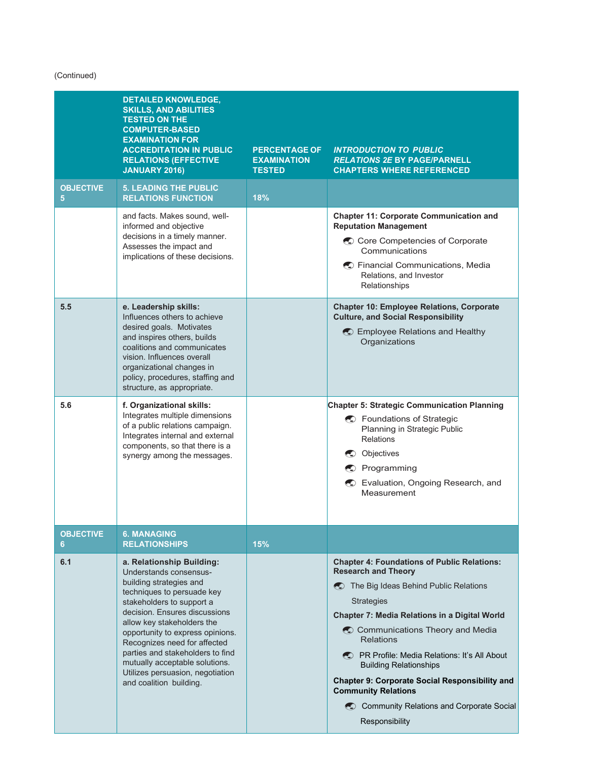|                       | <b>DETAILED KNOWLEDGE,</b><br><b>SKILLS, AND ABILITIES</b><br><b>TESTED ON THE</b><br><b>COMPUTER-BASED</b><br><b>EXAMINATION FOR</b><br><b>ACCREDITATION IN PUBLIC</b><br><b>RELATIONS (EFFECTIVE</b><br><b>JANUARY 2016)</b>                                                                                                                                                                                    | <b>PERCENTAGE OF</b><br><b>EXAMINATION</b><br><b>TESTED</b> | <b>INTRODUCTION TO PUBLIC</b><br><b>RELATIONS 2E BY PAGE/PARNELL</b><br><b>CHAPTERS WHERE REFERENCED</b>                                                                                                                                                                                                                                                                                                                                                                                                     |
|-----------------------|-------------------------------------------------------------------------------------------------------------------------------------------------------------------------------------------------------------------------------------------------------------------------------------------------------------------------------------------------------------------------------------------------------------------|-------------------------------------------------------------|--------------------------------------------------------------------------------------------------------------------------------------------------------------------------------------------------------------------------------------------------------------------------------------------------------------------------------------------------------------------------------------------------------------------------------------------------------------------------------------------------------------|
| <b>OBJECTIVE</b><br>5 | <b>5. LEADING THE PUBLIC</b><br><b>RELATIONS FUNCTION</b>                                                                                                                                                                                                                                                                                                                                                         | 18%                                                         |                                                                                                                                                                                                                                                                                                                                                                                                                                                                                                              |
|                       | and facts. Makes sound, well-<br>informed and objective<br>decisions in a timely manner.<br>Assesses the impact and<br>implications of these decisions.                                                                                                                                                                                                                                                           |                                                             | <b>Chapter 11: Corporate Communication and</b><br><b>Reputation Management</b><br>Core Competencies of Corporate<br>Communications<br><b>C</b> Financial Communications, Media<br>Relations, and Investor<br>Relationships                                                                                                                                                                                                                                                                                   |
| 5.5                   | e. Leadership skills:<br>Influences others to achieve<br>desired goals. Motivates<br>and inspires others, builds<br>coalitions and communicates<br>vision. Influences overall<br>organizational changes in<br>policy, procedures, staffing and<br>structure, as appropriate.                                                                                                                                      |                                                             | <b>Chapter 10: Employee Relations, Corporate</b><br><b>Culture, and Social Responsibility</b><br><b>C</b> Employee Relations and Healthy<br>Organizations                                                                                                                                                                                                                                                                                                                                                    |
| 5.6                   | f. Organizational skills:<br>Integrates multiple dimensions<br>of a public relations campaign.<br>Integrates internal and external<br>components, so that there is a<br>synergy among the messages.                                                                                                                                                                                                               |                                                             | <b>Chapter 5: Strategic Communication Planning</b><br>• Foundations of Strategic<br>Planning in Strategic Public<br><b>Relations</b><br>Objectives<br>← Programming<br>Evaluation, Ongoing Research, and<br>$\bullet$<br>Measurement                                                                                                                                                                                                                                                                         |
| <b>OBJECTIVE</b><br>6 | <b>6. MANAGING</b><br><b>RELATIONSHIPS</b>                                                                                                                                                                                                                                                                                                                                                                        | 15%                                                         |                                                                                                                                                                                                                                                                                                                                                                                                                                                                                                              |
| 6.1                   | a. Relationship Building:<br>Understands consensus-<br>building strategies and<br>techniques to persuade key<br>stakeholders to support a<br>decision. Ensures discussions<br>allow key stakeholders the<br>opportunity to express opinions.<br>Recognizes need for affected<br>parties and stakeholders to find<br>mutually acceptable solutions.<br>Utilizes persuasion, negotiation<br>and coalition building. |                                                             | <b>Chapter 4: Foundations of Public Relations:</b><br><b>Research and Theory</b><br>The Big Ideas Behind Public Relations<br><b>Strategies</b><br><b>Chapter 7: Media Relations in a Digital World</b><br>Communications Theory and Media<br><b>Relations</b><br><b>C.</b> PR Profile: Media Relations: It's All About<br><b>Building Relationships</b><br><b>Chapter 9: Corporate Social Responsibility and</b><br><b>Community Relations</b><br>Community Relations and Corporate Social<br>Responsibility |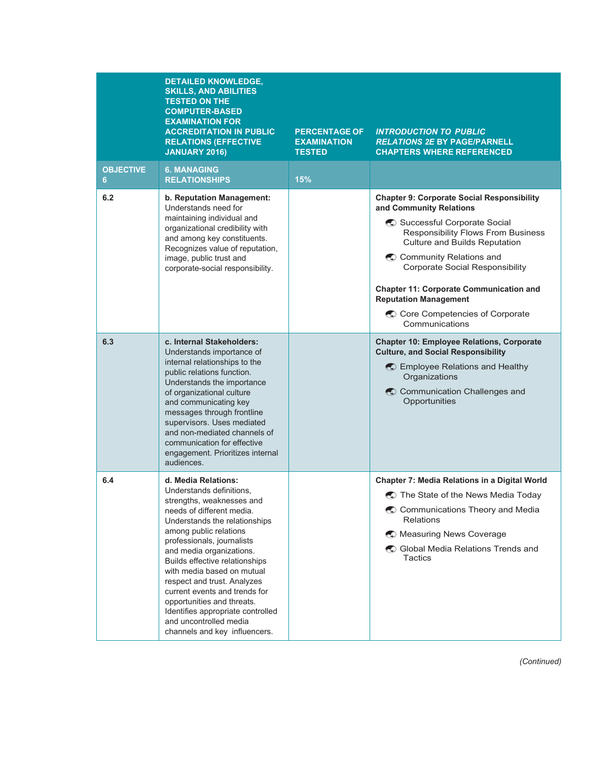|                       | <b>DETAILED KNOWLEDGE,</b><br><b>SKILLS, AND ABILITIES</b><br><b>TESTED ON THE</b><br><b>COMPUTER-BASED</b><br><b>EXAMINATION FOR</b><br><b>ACCREDITATION IN PUBLIC</b><br><b>RELATIONS (EFFECTIVE</b><br><b>JANUARY 2016)</b>                                                                                                                                                                                                                                                               | <b>PERCENTAGE OF</b><br><b>EXAMINATION</b><br><b>TESTED</b> | <b>INTRODUCTION TO PUBLIC</b><br><b>RELATIONS 2E BY PAGE/PARNELL</b><br><b>CHAPTERS WHERE REFERENCED</b>                                                                                                                                                                                                                                                                                                      |
|-----------------------|----------------------------------------------------------------------------------------------------------------------------------------------------------------------------------------------------------------------------------------------------------------------------------------------------------------------------------------------------------------------------------------------------------------------------------------------------------------------------------------------|-------------------------------------------------------------|---------------------------------------------------------------------------------------------------------------------------------------------------------------------------------------------------------------------------------------------------------------------------------------------------------------------------------------------------------------------------------------------------------------|
| <b>OBJECTIVE</b><br>6 | <b>6. MANAGING</b><br><b>RELATIONSHIPS</b>                                                                                                                                                                                                                                                                                                                                                                                                                                                   | 15%                                                         |                                                                                                                                                                                                                                                                                                                                                                                                               |
| 6.2                   | b. Reputation Management:<br>Understands need for<br>maintaining individual and<br>organizational credibility with<br>and among key constituents.<br>Recognizes value of reputation,<br>image, public trust and<br>corporate-social responsibility.                                                                                                                                                                                                                                          |                                                             | <b>Chapter 9: Corporate Social Responsibility</b><br>and Community Relations<br>Successful Corporate Social<br><b>Responsibility Flows From Business</b><br><b>Culture and Builds Reputation</b><br>← Community Relations and<br><b>Corporate Social Responsibility</b><br><b>Chapter 11: Corporate Communication and</b><br><b>Reputation Management</b><br>Core Competencies of Corporate<br>Communications |
| 6.3                   | c. Internal Stakeholders:<br>Understands importance of<br>internal relationships to the<br>public relations function.<br>Understands the importance<br>of organizational culture<br>and communicating key<br>messages through frontline<br>supervisors. Uses mediated<br>and non-mediated channels of<br>communication for effective<br>engagement. Prioritizes internal<br>audiences.                                                                                                       |                                                             | <b>Chapter 10: Employee Relations, Corporate</b><br><b>Culture, and Social Responsibility</b><br><b>C</b> Employee Relations and Healthy<br>Organizations<br>Communication Challenges and<br>Opportunities                                                                                                                                                                                                    |
| 6.4                   | d. Media Relations:<br>Understands definitions,<br>strengths, weaknesses and<br>needs of different media.<br>Understands the relationships<br>among public relations<br>professionals, journalists<br>and media organizations.<br>Builds effective relationships<br>with media based on mutual<br>respect and trust. Analyzes<br>current events and trends for<br>opportunities and threats.<br>Identifies appropriate controlled<br>and uncontrolled media<br>channels and key influencers. |                                                             | Chapter 7: Media Relations in a Digital World<br>The State of the News Media Today<br>Communications Theory and Media<br>Relations<br><b>C</b> Measuring News Coverage<br><b>C</b> Global Media Relations Trends and<br>Tactics                                                                                                                                                                               |